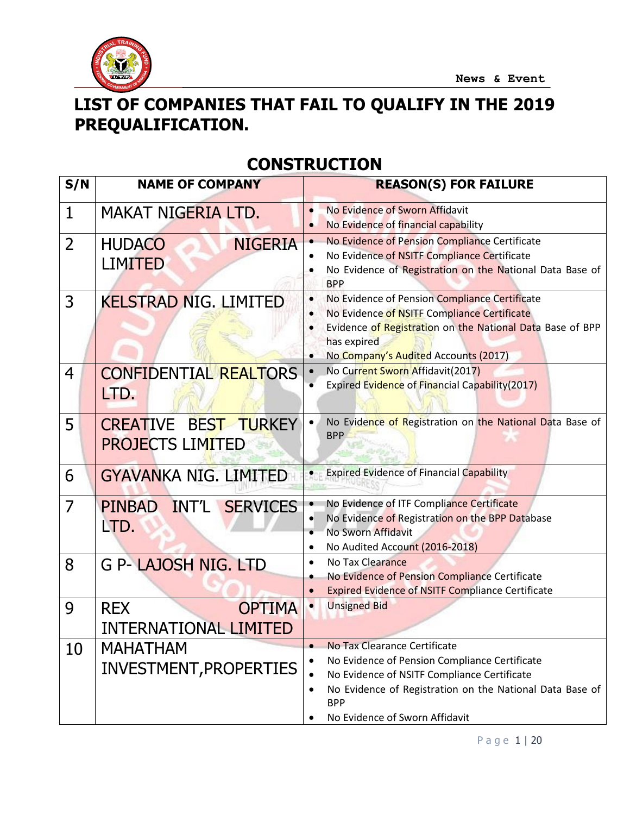

### **LIST OF COMPANIES THAT FAIL TO QUALIFY IN THE 2019 PREQUALIFICATION.**

#### **CONSTRUCTION**

| S/N            | <b>NAME OF COMPANY</b>                                      | <b>REASON(S) FOR FAILURE</b>                                                                                                                                                                                                                                                    |
|----------------|-------------------------------------------------------------|---------------------------------------------------------------------------------------------------------------------------------------------------------------------------------------------------------------------------------------------------------------------------------|
| $\mathbf{1}$   | MAKAT NIGERIA LTD.                                          | No Evidence of Sworn Affidavit<br>No Evidence of financial capability                                                                                                                                                                                                           |
| $\overline{2}$ | <b>NIGERIA</b><br><b>HUDACO</b><br><b>LIMITED</b>           | No Evidence of Pension Compliance Certificate<br>$\bullet$<br>No Evidence of NSITF Compliance Certificate<br>No Evidence of Registration on the National Data Base of<br><b>BPP</b>                                                                                             |
| 3              | <b>KELSTRAD NIG. LIMITED</b>                                | No Evidence of Pension Compliance Certificate<br>$\bullet$<br>No Evidence of NSITF Compliance Certificate<br>$\bullet$<br>Evidence of Registration on the National Data Base of BPP<br>has expired<br>No Company's Audited Accounts (2017)<br>$\bullet$                         |
| 4              | <b>CONFIDENTIAL REALTORS</b><br>LTD.                        | No Current Sworn Affidavit(2017)<br>$\bullet$<br>Expired Evidence of Financial Capability(2017)<br>$\bullet$                                                                                                                                                                    |
| 5              | <b>CREATIVE BEST TURKEY</b><br><b>PROJECTS LIMITED</b>      | No Evidence of Registration on the National Data Base of<br>$\bullet$<br><b>BPP</b>                                                                                                                                                                                             |
| 6              | <b>GYAVANKA NIG. LIMITED</b>                                | <b>Expired Evidence of Financial Capability</b><br>$\bullet$                                                                                                                                                                                                                    |
| 7              | PINBAD INT'L SERVICES<br>LTD.                               | No Evidence of ITF Compliance Certificate<br>$\bullet$<br>No Evidence of Registration on the BPP Database<br>$\bullet$<br>No Sworn Affidavit<br>$\bullet$<br>No Audited Account (2016-2018)<br>$\bullet$                                                                        |
| 8              | G P- LAJOSH NIG. LTD                                        | No Tax Clearance<br>$\bullet$<br>No Evidence of Pension Compliance Certificate<br><b>Expired Evidence of NSITF Compliance Certificate</b>                                                                                                                                       |
| 9              | <b>OPTIMA</b><br><b>REX</b><br><b>INTERNATIONAL LIMITED</b> | <b>Unsigned Bid</b><br>$\bullet$                                                                                                                                                                                                                                                |
| 10             | <b>MAHATHAM</b><br><b>INVESTMENT, PROPERTIES</b>            | No Tax Clearance Certificate<br>$\bullet$<br>No Evidence of Pension Compliance Certificate<br>$\bullet$<br>No Evidence of NSITF Compliance Certificate<br>No Evidence of Registration on the National Data Base of<br>$\bullet$<br><b>BPP</b><br>No Evidence of Sworn Affidavit |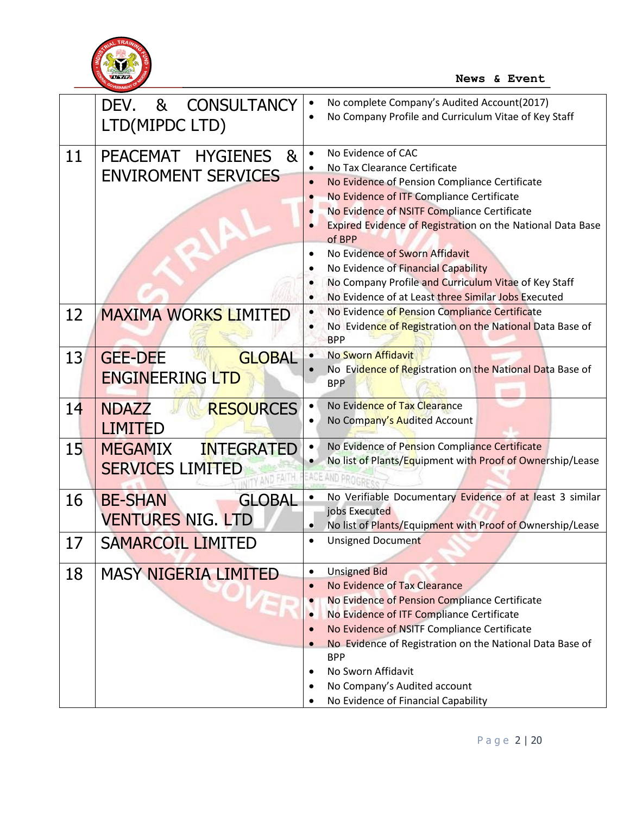

|    | <b>CONSULTANCY</b><br>8 <sub>1</sub><br>DEV.<br>LTD(MIPDC LTD)    | No complete Company's Audited Account(2017)<br>$\bullet$<br>No Company Profile and Curriculum Vitae of Key Staff<br>$\bullet$                                                                                                                                                                                                                                                                                                                                                                                                                 |
|----|-------------------------------------------------------------------|-----------------------------------------------------------------------------------------------------------------------------------------------------------------------------------------------------------------------------------------------------------------------------------------------------------------------------------------------------------------------------------------------------------------------------------------------------------------------------------------------------------------------------------------------|
| 11 | PEACEMAT HYGIENES<br>8 <sub>k</sub><br><b>ENVIROMENT SERVICES</b> | No Evidence of CAC<br>$\bullet$<br>No Tax Clearance Certificate<br>$\bullet$<br>No Evidence of Pension Compliance Certificate<br>$\bullet$<br>No Evidence of ITF Compliance Certificate<br>No Evidence of NSITF Compliance Certificate<br>Expired Evidence of Registration on the National Data Base<br>of BPP<br>No Evidence of Sworn Affidavit<br>$\bullet$<br>No Evidence of Financial Capability<br>$\bullet$<br>No Company Profile and Curriculum Vitae of Key Staff<br>No Evidence of at Least three Similar Jobs Executed<br>$\bullet$ |
| 12 | <b>MAXIMA WORKS LIMITED</b>                                       | No Evidence of Pension Compliance Certificate<br>$\bullet$<br>No Evidence of Registration on the National Data Base of<br>$\bullet$<br><b>BPP</b>                                                                                                                                                                                                                                                                                                                                                                                             |
| 13 | <b>GLOBAL</b><br><b>GEE-DEE</b><br><b>ENGINEERING LTD</b>         | No Sworn Affidavit<br>$\bullet$<br>No Evidence of Registration on the National Data Base of<br><b>BPP</b>                                                                                                                                                                                                                                                                                                                                                                                                                                     |
| 14 | <b>RESOURCES</b><br><b>NDAZZ</b><br><b>LIMITED</b>                | No Evidence of Tax Clearance<br>$\bullet$<br>No Company's Audited Account<br>$\bullet$                                                                                                                                                                                                                                                                                                                                                                                                                                                        |
| 15 | <b>INTEGRATED</b><br><b>MEGAMIX</b><br><b>SERVICES LIMITED</b>    | No Evidence of Pension Compliance Certificate<br>$\bullet$<br>No list of Plants/Equipment with Proof of Ownership/Lease<br>$\bullet$<br>ACE:<br>AND PROGR                                                                                                                                                                                                                                                                                                                                                                                     |
| 16 | <b>GLOBAL</b><br><b>BE-SHAN</b><br><b>VENTURES NIG. LTD</b>       | No Verifiable Documentary Evidence of at least 3 similar<br>$\bullet$<br>jobs Executed<br>No list of Plants/Equipment with Proof of Ownership/Lease<br>$\bullet$                                                                                                                                                                                                                                                                                                                                                                              |
| 17 | <b>SAMARCOIL LIMITED</b>                                          | <b>Unsigned Document</b><br>$\bullet$                                                                                                                                                                                                                                                                                                                                                                                                                                                                                                         |
| 18 | <b>MASY NIGERIA LIMITED</b>                                       | <b>Unsigned Bid</b><br>$\bullet$<br>No Evidence of Tax Clearance<br>No Evidence of Pension Compliance Certificate<br>No Evidence of ITF Compliance Certificate<br>$\bullet$<br>No Evidence of NSITF Compliance Certificate<br>No Evidence of Registration on the National Data Base of<br>$\bullet$<br><b>BPP</b><br>No Sworn Affidavit<br>No Company's Audited account<br>No Evidence of Financial Capability                                                                                                                                |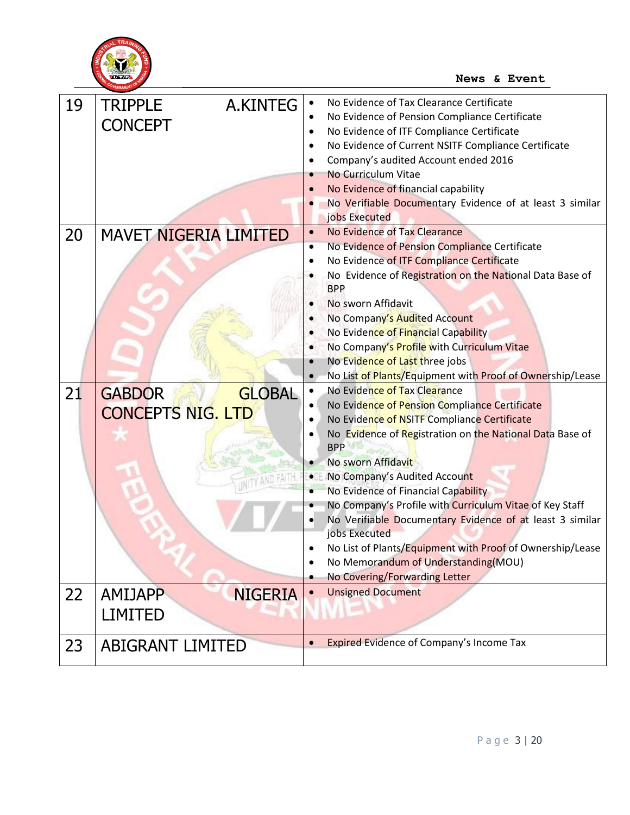

| 19 | <b>TRIPPLE</b><br>A.KINTEG<br><b>CONCEPT</b>               | No Evidence of Tax Clearance Certificate<br>$\bullet$<br>No Evidence of Pension Compliance Certificate<br>٠<br>No Evidence of ITF Compliance Certificate<br>٠<br>No Evidence of Current NSITF Compliance Certificate<br>$\bullet$<br>Company's audited Account ended 2016                                                                                                                                                                                                                                                                                                                                                                                      |
|----|------------------------------------------------------------|----------------------------------------------------------------------------------------------------------------------------------------------------------------------------------------------------------------------------------------------------------------------------------------------------------------------------------------------------------------------------------------------------------------------------------------------------------------------------------------------------------------------------------------------------------------------------------------------------------------------------------------------------------------|
|    |                                                            | No Curriculum Vitae<br>No Evidence of financial capability<br>No Verifiable Documentary Evidence of at least 3 similar<br>jobs Executed                                                                                                                                                                                                                                                                                                                                                                                                                                                                                                                        |
| 20 | <b>MAVET NIGERIA LIMITED</b>                               | <b>No Evidence of Tax Clearance</b><br>$\bullet$<br>No Evidence of Pension Compliance Certificate<br>٠<br>No Evidence of ITF Compliance Certificate<br>No Evidence of Registration on the National Data Base of<br><b>BPP</b><br>No sworn Affidavit<br>No Company's Audited Account<br>No Evidence of Financial Capability<br>No Company's Profile with Curriculum Vitae<br>No Evidence of Last three jobs<br>No List of Plants/Equipment with Proof of Ownership/Lease<br>$\bullet$                                                                                                                                                                           |
| 21 | <b>GLOBAL</b><br><b>GABDOR</b><br><b>CONCEPTS NIG. LTD</b> | No Evidence of Tax Clearance<br>$\bullet$<br>No Evidence of Pension Compliance Certificate<br>$\bullet$<br>No Evidence of NSITF Compliance Certificate<br>No Evidence of Registration on the National Data Base of<br><b>BPP</b><br>No sworn Affidavit<br>$\bullet$<br>No Company's Audited Account<br>$\bullet$<br>No Evidence of Financial Capability<br>$\bullet$<br>No Company's Profile with Curriculum Vitae of Key Staff<br>No Verifiable Documentary Evidence of at least 3 similar<br>jobs Executed<br>No List of Plants/Equipment with Proof of Ownership/Lease<br>No Memorandum of Understanding(MOU)<br>$\bullet$<br>No Covering/Forwarding Letter |
| 22 | <b>AMIJAPP</b><br><b>NIGERIA</b><br><b>LIMITED</b>         | <b>Unsigned Document</b><br>$\bullet$                                                                                                                                                                                                                                                                                                                                                                                                                                                                                                                                                                                                                          |
| 23 | <b>ABIGRANT LIMITED</b>                                    | <b>Expired Evidence of Company's Income Tax</b><br>$\bullet$                                                                                                                                                                                                                                                                                                                                                                                                                                                                                                                                                                                                   |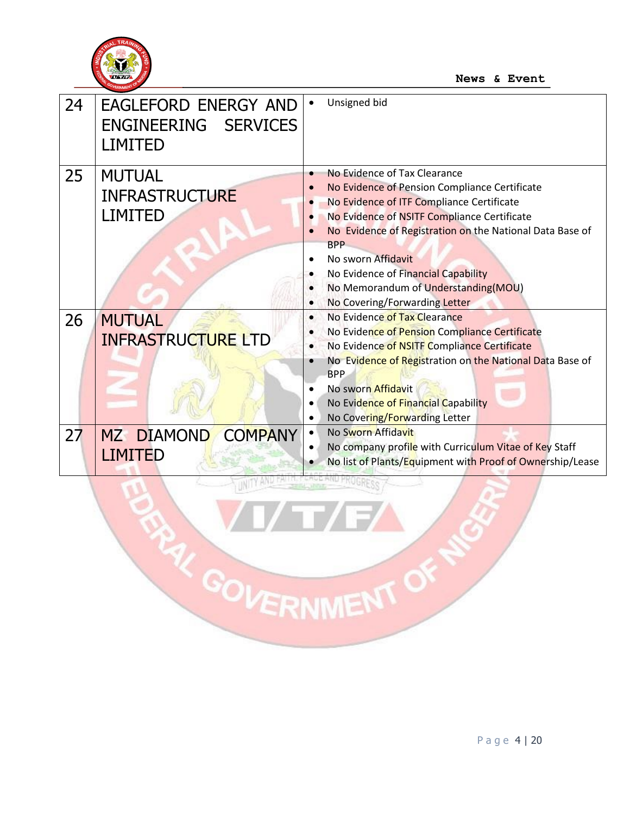

| 24 | <b>EAGLEFORD ENERGY AND</b><br>ENGINEERING SERVICES<br><b>LIMITED</b> | Unsigned bid                                                                                                                                                                                                                                                                                                                                                                                                            |
|----|-----------------------------------------------------------------------|-------------------------------------------------------------------------------------------------------------------------------------------------------------------------------------------------------------------------------------------------------------------------------------------------------------------------------------------------------------------------------------------------------------------------|
| 25 | <b>MUTUAL</b><br><b>INFRASTRUCTURE</b><br><b>LIMITED</b>              | No Evidence of Tax Clearance<br>۰<br>No Evidence of Pension Compliance Certificate<br>No Evidence of ITF Compliance Certificate<br>$\bullet$<br>No Evidence of NSITF Compliance Certificate<br>No Evidence of Registration on the National Data Base of<br><b>BPP</b><br>No sworn Affidavit<br>$\bullet$<br>No Evidence of Financial Capability<br>No Memorandum of Understanding(MOU)<br>No Covering/Forwarding Letter |
| 26 | <b>MUTUAL</b><br><b>INFRASTRUCTURE LTD</b>                            | No Evidence of Tax Clearance<br>$\bullet$<br>No Evidence of Pension Compliance Certificate<br>No Evidence of NSITF Compliance Certificate<br>No Evidence of Registration on the National Data Base of<br><b>BPP</b><br>No sworn Affidavit<br>$\bullet$<br>No Evidence of Financial Capability<br>$\bullet$<br>No Covering/Forwarding Letter                                                                             |
| 27 | MZ DIAMOND COMPANY<br><b>LIMITED</b>                                  | No Sworn Affidavit<br>$\bullet$<br>No company profile with Curriculum Vitae of Key Staff<br>$\bullet$<br>No list of Plants/Equipment with Proof of Ownership/Lease                                                                                                                                                                                                                                                      |

**RAY GOVERNMENT OF**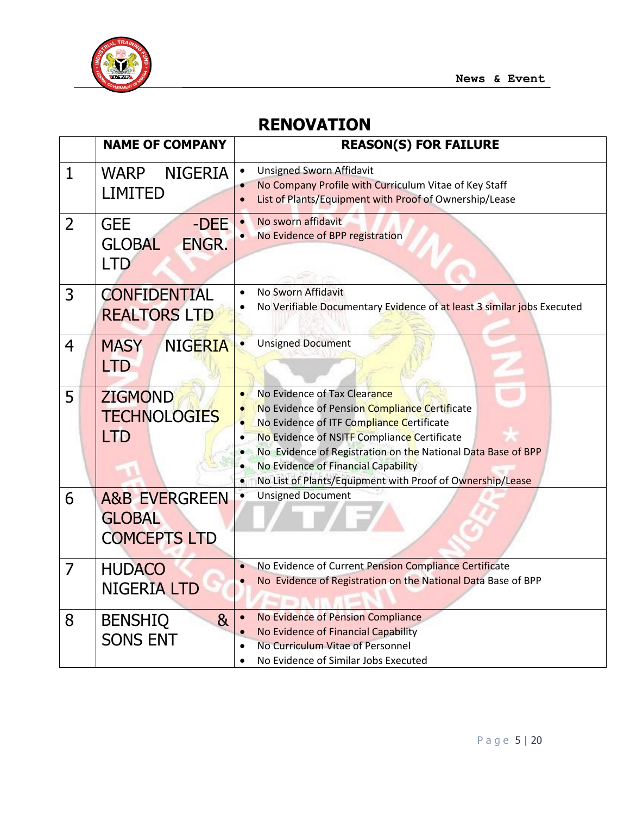

# **RENOVATION**

|                | <b>NAME OF COMPANY</b>                                           | <b>REASON(S) FOR FAILURE</b>                                                                                                                                                                                                                                                                                                                                                         |
|----------------|------------------------------------------------------------------|--------------------------------------------------------------------------------------------------------------------------------------------------------------------------------------------------------------------------------------------------------------------------------------------------------------------------------------------------------------------------------------|
| $\overline{1}$ | <b>WARP</b><br><b>NIGERIA</b><br><b>LIMITED</b>                  | <b>Unsigned Sworn Affidavit</b><br>$\bullet$<br>No Company Profile with Curriculum Vitae of Key Staff<br>$\bullet$<br>List of Plants/Equipment with Proof of Ownership/Lease                                                                                                                                                                                                         |
| $\overline{2}$ | <b>GEE</b><br>-DEE<br>ENGR.<br><b>GLOBAL</b><br><b>LTD</b>       | No sworn affidavit<br>No Evidence of BPP registration                                                                                                                                                                                                                                                                                                                                |
| 3              | <b>CONFIDENTIAL</b><br><b>REALTORS LTD</b>                       | No Sworn Affidavit<br>No Verifiable Documentary Evidence of at least 3 similar jobs Executed                                                                                                                                                                                                                                                                                         |
| $\overline{4}$ | <b>NIGERIA</b><br><b>MASY</b><br><b>LTD</b>                      | <b>Unsigned Document</b>                                                                                                                                                                                                                                                                                                                                                             |
| 5              | <b>ZIGMOND</b><br><b>TECHNOLOGIES</b><br><b>LTD</b>              | No Evidence of Tax Clearance<br>$\bullet$<br>No Evidence of Pension Compliance Certificate<br>No Evidence of ITF Compliance Certificate<br>$\bullet$<br>No Evidence of NSITF Compliance Certificate<br>$\bullet$<br>No Evidence of Registration on the National Data Base of BPP<br>No Evidence of Financial Capability<br>No List of Plants/Equipment with Proof of Ownership/Lease |
| 6              | <b>A&amp;B EVERGREEN</b><br><b>GLOBAL</b><br><b>COMCEPTS LTD</b> | <b>Unsigned Document</b>                                                                                                                                                                                                                                                                                                                                                             |
| $\overline{7}$ | <b>HUDACO</b><br><b>NIGERIA LTD</b>                              | No Evidence of Current Pension Compliance Certificate<br>$\bullet$<br>No Evidence of Registration on the National Data Base of BPP<br>$\bullet$                                                                                                                                                                                                                                      |
| 8              | <b>BENSHIQ</b><br>8 <sub>k</sub><br><b>SONS ENT</b>              | No Evidence of Pension Compliance<br>$\bullet$<br>No Evidence of Financial Capability<br>$\bullet$<br>No Curriculum Vitae of Personnel<br>No Evidence of Similar Jobs Executed<br>$\bullet$                                                                                                                                                                                          |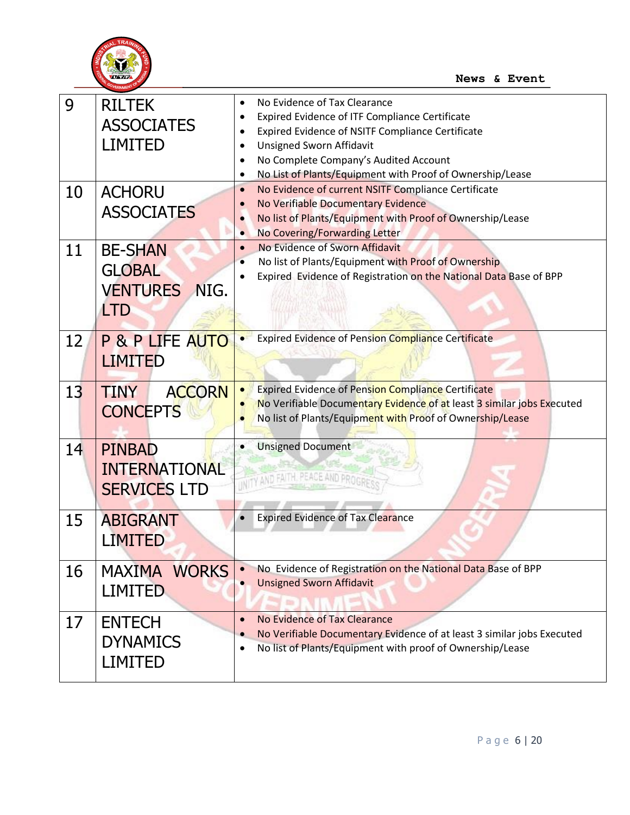

| 9<br>10 | <b>RILTEK</b><br><b>ASSOCIATES</b><br><b>LIMITED</b><br><b>ACHORU</b>    | No Evidence of Tax Clearance<br>Expired Evidence of ITF Compliance Certificate<br>Expired Evidence of NSITF Compliance Certificate<br><b>Unsigned Sworn Affidavit</b><br>No Complete Company's Audited Account<br>No List of Plants/Equipment with Proof of Ownership/Lease<br>$\bullet$<br>No Evidence of current NSITF Compliance Certificate<br>$\bullet$ |
|---------|--------------------------------------------------------------------------|--------------------------------------------------------------------------------------------------------------------------------------------------------------------------------------------------------------------------------------------------------------------------------------------------------------------------------------------------------------|
|         | <b>ASSOCIATES</b>                                                        | No Verifiable Documentary Evidence<br>No list of Plants/Equipment with Proof of Ownership/Lease<br>No Covering/Forwarding Letter<br>$\bullet$                                                                                                                                                                                                                |
| 11      | <b>BE-SHAN</b><br><b>GLOBAL</b><br><b>VENTURES</b><br>NIG.<br><b>LTD</b> | No Evidence of Sworn Affidavit<br>$\bullet$<br>No list of Plants/Equipment with Proof of Ownership<br>$\bullet$<br>Expired Evidence of Registration on the National Data Base of BPP                                                                                                                                                                         |
| 12      | <b>P &amp; P LIFE AUTO</b><br><b>LIMITED</b>                             | <b>Expired Evidence of Pension Compliance Certificate</b>                                                                                                                                                                                                                                                                                                    |
| 13      | <b>ACCORN</b><br><b>TINY</b><br><b>CONCEPTS</b>                          | <b>Expired Evidence of Pension Compliance Certificate</b><br>No Verifiable Documentary Evidence of at least 3 similar jobs Executed<br>No list of Plants/Equipment with Proof of Ownership/Lease                                                                                                                                                             |
| 14      | <b>PINBAD</b><br><b>INTERNATIONAL</b><br><b>SERVICES LTD</b>             | <b>Unsigned Document</b><br>NITY AND FAITH, PEACE AND PROGRE                                                                                                                                                                                                                                                                                                 |
| 15      | <b>ABIGRANT</b><br>LIMITED                                               | <b>Expired Evidence of Tax Clearance</b>                                                                                                                                                                                                                                                                                                                     |
| 16      | MAXIMA WORKS<br><b>LIMITED</b>                                           | No Evidence of Registration on the National Data Base of BPP<br><b>Unsigned Sworn Affidavit</b>                                                                                                                                                                                                                                                              |
| 17      | <b>ENTECH</b><br><b>DYNAMICS</b><br><b>LIMITED</b>                       | No Evidence of Tax Clearance<br>$\bullet$<br>No Verifiable Documentary Evidence of at least 3 similar jobs Executed<br>No list of Plants/Equipment with proof of Ownership/Lease                                                                                                                                                                             |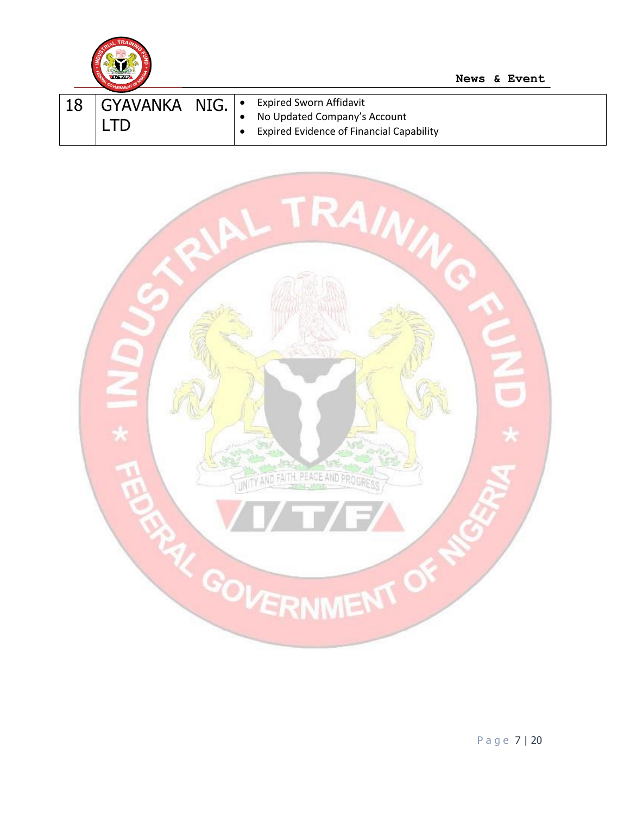

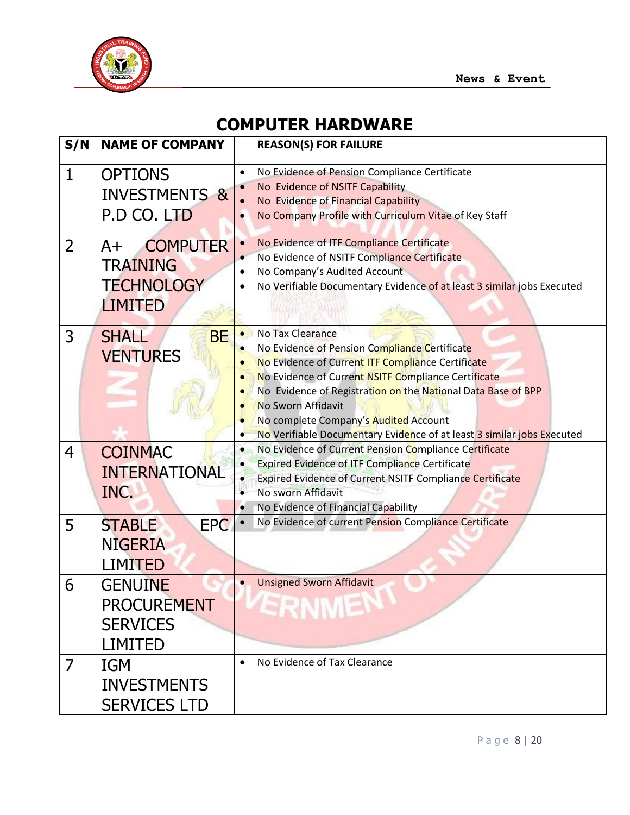

# **COMPUTER HARDWARE**

| S/N            | <b>NAME OF COMPANY</b>                                                            | <b>REASON(S) FOR FAILURE</b>                                                                                                                                                                                                                                                                                                                                                                                                         |
|----------------|-----------------------------------------------------------------------------------|--------------------------------------------------------------------------------------------------------------------------------------------------------------------------------------------------------------------------------------------------------------------------------------------------------------------------------------------------------------------------------------------------------------------------------------|
| $\mathbf{1}$   | <b>OPTIONS</b><br><b>INVESTMENTS &amp;</b><br>P.D CO. LTD                         | No Evidence of Pension Compliance Certificate<br>$\bullet$<br>No Evidence of NSITF Capability<br>No Evidence of Financial Capability<br>$\bullet$<br>No Company Profile with Curriculum Vitae of Key Staff                                                                                                                                                                                                                           |
| $\overline{2}$ | <b>COMPUTER</b><br>$A+$<br><b>TRAINING</b><br><b>TECHNOLOGY</b><br><b>LIMITED</b> | No Evidence of ITF Compliance Certificate<br>$\bullet$<br>No Evidence of NSITF Compliance Certificate<br>No Company's Audited Account<br>No Verifiable Documentary Evidence of at least 3 similar jobs Executed<br>$\bullet$                                                                                                                                                                                                         |
| 3              | <b>SHALL</b><br><b>BE</b><br><b>VENTURES</b>                                      | <b>No Tax Clearance</b><br>$\bullet$<br>No Evidence of Pension Compliance Certificate<br>$\bullet$<br>No Evidence of Current ITF Compliance Certificate<br>No Evidence of Current NSITF Compliance Certificate<br>No Evidence of Registration on the National Data Base of BPP<br>No Sworn Affidavit<br>No complete Company's Audited Account<br>No Verifiable Documentary Evidence of at least 3 similar jobs Executed<br>$\bullet$ |
| 4              | <b>COINMAC</b><br><b>INTERNATIONAL</b><br>INC.                                    | No Evidence of Current Pension Compliance Certificate<br>$\bullet$<br><b>Expired Evidence of ITF Compliance Certificate</b><br>Expired Evidence of Current NSITF Compliance Certificate<br>$\bullet$<br>No sworn Affidavit<br>No Evidence of Financial Capability<br>$\bullet$                                                                                                                                                       |
| 5              | <b>EPC</b><br><b>STABLE</b><br><b>NIGERIA</b><br><b>LIMITED</b>                   | No Evidence of current Pension Compliance Certificate                                                                                                                                                                                                                                                                                                                                                                                |
| 6              | <b>GENUINE</b><br><b>PROCUREMENT</b><br><b>SERVICES</b><br><b>LIMITED</b>         | <b>Unsigned Sworn Affidavit</b><br>$\bullet$<br><b>ERNMEN</b>                                                                                                                                                                                                                                                                                                                                                                        |
| 7              | <b>IGM</b><br><b>INVESTMENTS</b><br><b>SERVICES LTD</b>                           | No Evidence of Tax Clearance<br>$\bullet$                                                                                                                                                                                                                                                                                                                                                                                            |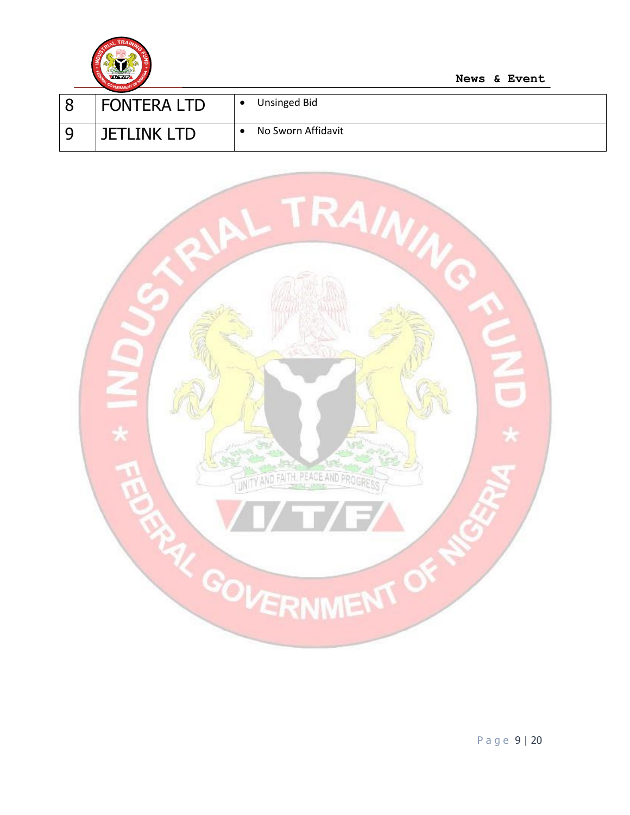

| <b>FONTERA LTD</b>   | Unsinged Bid       |
|----------------------|--------------------|
| <b>IFTI INK I TD</b> | No Sworn Affidavit |



P a g e 9 | 20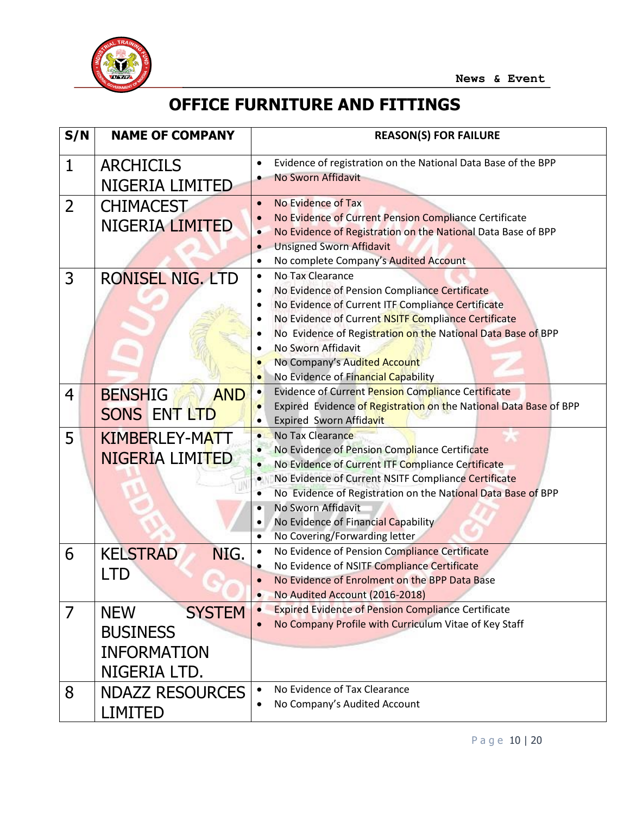

# **OFFICE FURNITURE AND FITTINGS**

| S/N          | <b>NAME OF COMPANY</b>                                                               | <b>REASON(S) FOR FAILURE</b>                                                                                                                                                                                                                                                                                                                                                                                                           |
|--------------|--------------------------------------------------------------------------------------|----------------------------------------------------------------------------------------------------------------------------------------------------------------------------------------------------------------------------------------------------------------------------------------------------------------------------------------------------------------------------------------------------------------------------------------|
| $\mathbf{1}$ | <b>ARCHICILS</b><br>NIGERIA LIMITED                                                  | Evidence of registration on the National Data Base of the BPP<br>$\bullet$<br>No Sworn Affidavit                                                                                                                                                                                                                                                                                                                                       |
| 2            | <b>CHIMACEST</b><br><b>NIGERIA LIMITED</b>                                           | No Evidence of Tax<br>$\bullet$<br>No Evidence of Current Pension Compliance Certificate<br>No Evidence of Registration on the National Data Base of BPP<br>$\bullet$<br><b>Unsigned Sworn Affidavit</b><br>$\bullet$<br>No complete Company's Audited Account<br>$\bullet$                                                                                                                                                            |
| 3            | <b>RONISEL NIG. LTD</b>                                                              | No Tax Clearance<br>$\bullet$<br>No Evidence of Pension Compliance Certificate<br>No Evidence of Current ITF Compliance Certificate<br>No Evidence of Current NSITF Compliance Certificate<br>No Evidence of Registration on the National Data Base of BPP<br>No Sworn Affidavit<br>No Company's Audited Account<br>No Evidence of Financial Capability<br>$\bullet$                                                                   |
| 4            | <b>BENSHIG</b><br><b>AND</b><br>SONS ENT LTD                                         | Evidence of Current Pension Compliance Certificate<br>$\bullet$<br>Expired Evidence of Registration on the National Data Base of BPP<br>Expired Sworn Affidavit                                                                                                                                                                                                                                                                        |
| 5            | <b>KIMBERLEY-MATT</b><br>NIGERIA LIMITED                                             | No Tax Clearance<br>$\bullet$<br>No Evidence of Pension Compliance Certificate<br>$\bullet$<br>No Evidence of Current ITF Compliance Certificate<br>$\bullet$<br>No Evidence of Current NSITF Compliance Certificate<br>$\bullet$<br>No Evidence of Registration on the National Data Base of BPP<br>No Sworn Affidavit<br>$\bullet$<br>No Evidence of Financial Capability<br>$\bullet$<br>No Covering/Forwarding letter<br>$\bullet$ |
| 6            | <b>KELSTRAD</b><br>NIG.<br>LTD                                                       | No Evidence of Pension Compliance Certificate<br>$\bullet$<br>No Evidence of NSITF Compliance Certificate<br>No Evidence of Enrolment on the BPP Data Base<br>$\bullet$<br>No Audited Account (2016-2018)                                                                                                                                                                                                                              |
| 7            | <b>SYSTEM</b><br><b>NEW</b><br><b>BUSINESS</b><br><b>INFORMATION</b><br>NIGERIA LTD. | <b>Expired Evidence of Pension Compliance Certificate</b><br>$\bullet$<br>No Company Profile with Curriculum Vitae of Key Staff                                                                                                                                                                                                                                                                                                        |
| 8            | <b>NDAZZ RESOURCES</b><br><b>LIMITED</b>                                             | No Evidence of Tax Clearance<br>$\bullet$<br>No Company's Audited Account                                                                                                                                                                                                                                                                                                                                                              |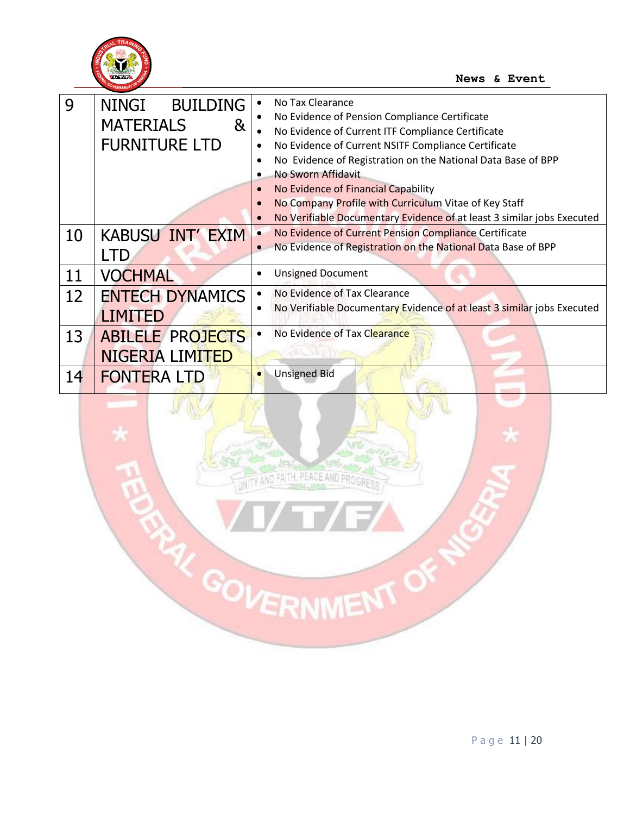

| 9  | <b>NINGI</b><br><b>BUILDING</b><br><b>MATERIALS</b><br>&<br><b>FURNITURE LTD</b> | No Tax Clearance<br>No Evidence of Pension Compliance Certificate<br>No Evidence of Current ITF Compliance Certificate<br>No Evidence of Current NSITF Compliance Certificate<br>$\bullet$<br>No Evidence of Registration on the National Data Base of BPP<br>No Sworn Affidavit<br>No Evidence of Financial Capability<br>$\bullet$<br>No Company Profile with Curriculum Vitae of Key Staff<br>$\bullet$<br>No Verifiable Documentary Evidence of at least 3 similar jobs Executed<br>$\bullet$ |
|----|----------------------------------------------------------------------------------|---------------------------------------------------------------------------------------------------------------------------------------------------------------------------------------------------------------------------------------------------------------------------------------------------------------------------------------------------------------------------------------------------------------------------------------------------------------------------------------------------|
| 10 | <b>KABUSU INT' EXIM</b>                                                          | No Evidence of Current Pension Compliance Certificate<br>No Evidence of Registration on the National Data Base of BPP                                                                                                                                                                                                                                                                                                                                                                             |
| 11 | <b>VOCHMAL</b>                                                                   | <b>Unsigned Document</b><br>$\bullet$                                                                                                                                                                                                                                                                                                                                                                                                                                                             |
| 12 | <b>ENTECH DYNAMICS</b><br>LIMITED                                                | No Evidence of Tax Clearance<br>$\bullet$<br>No Verifiable Documentary Evidence of at least 3 similar jobs Executed                                                                                                                                                                                                                                                                                                                                                                               |
| 13 | <b>ABILELE PROJECTS</b><br>NIGERIA LIMITED                                       | No Evidence of Tax Clearance                                                                                                                                                                                                                                                                                                                                                                                                                                                                      |
| 14 | <b>FONTERA LTD</b>                                                               | <b>Unsigned Bid</b><br>$\bullet$                                                                                                                                                                                                                                                                                                                                                                                                                                                                  |

ENTY AND FAITH PEACE AND PROGRESS

PAY GOVERNMENT OF

P a g e 11 | 20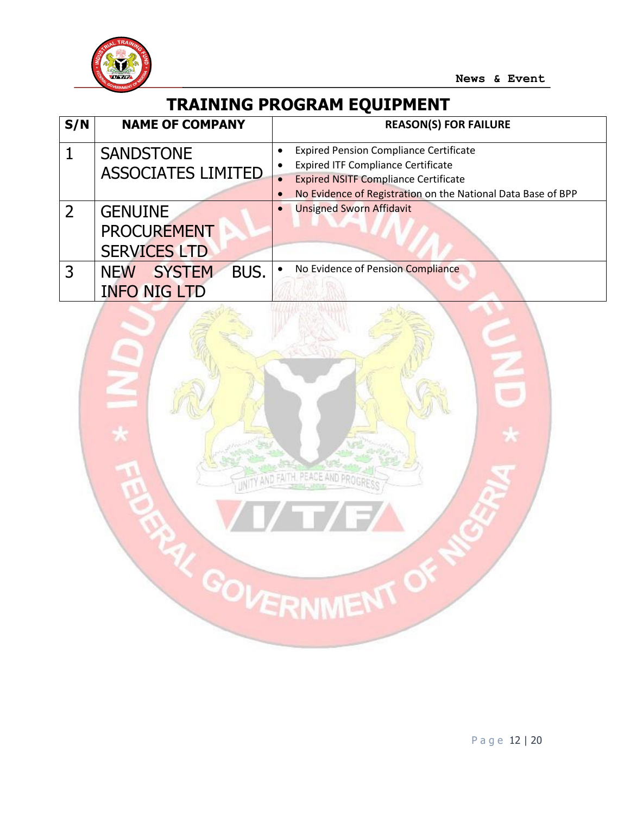

# **TRAINING PROGRAM EQUIPMENT**

| S/N | <b>NAME OF COMPANY</b>                                     | <b>REASON(S) FOR FAILURE</b>                                                                                                              |
|-----|------------------------------------------------------------|-------------------------------------------------------------------------------------------------------------------------------------------|
|     | <b>SANDSTONE</b><br><b>ASSOCIATES LIMITED</b>              | <b>Expired Pension Compliance Certificate</b><br><b>Expired ITF Compliance Certificate</b><br><b>Expired NSITF Compliance Certificate</b> |
|     |                                                            | No Evidence of Registration on the National Data Base of BPP                                                                              |
|     | <b>GENUINE</b><br><b>PROCUREMENT</b>                       | <b>Unsigned Sworn Affidavit</b>                                                                                                           |
|     | <b>SERVICES LTD</b>                                        |                                                                                                                                           |
|     | BUS.<br><b>SYSTEM</b><br><b>NEW</b><br><b>INFO NIG LTD</b> | No Evidence of Pension Compliance<br>$\bullet$                                                                                            |

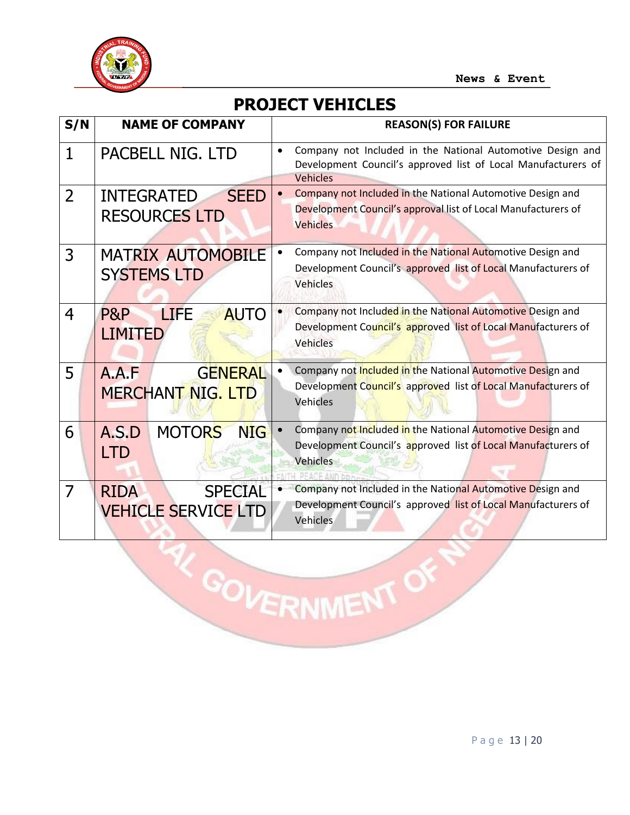

#### **PROJECT VEHICLES**

| S/N            | <b>NAME OF COMPANY</b>                                      | <b>REASON(S) FOR FAILURE</b>                                                                                                                                |
|----------------|-------------------------------------------------------------|-------------------------------------------------------------------------------------------------------------------------------------------------------------|
| $\mathbf{1}$   | PACBELL NIG. LTD                                            | Company not Included in the National Automotive Design and<br>$\bullet$<br>Development Council's approved list of Local Manufacturers of<br><b>Vehicles</b> |
| $\overline{2}$ | <b>SEED</b><br><b>INTEGRATED</b><br><b>RESOURCES LTD</b>    | Company not Included in the National Automotive Design and<br>$\bullet$<br>Development Council's approval list of Local Manufacturers of<br><b>Vehicles</b> |
| 3              | <b>MATRIX AUTOMOBILE</b><br><b>SYSTEMS LTD</b>              | Company not Included in the National Automotive Design and<br>$\bullet$<br>Development Council's approved list of Local Manufacturers of<br>Vehicles        |
| $\overline{4}$ | P&P<br><b>LIFE</b><br><b>AUTO</b><br><b>LIMITED</b>         | Company not Included in the National Automotive Design and<br>$\bullet$<br>Development Council's approved list of Local Manufacturers of<br>Vehicles        |
| 5              | <b>GENERAL</b><br>A.A.F<br><b>MERCHANT NIG. LTD</b>         | Company not Included in the National Automotive Design and<br>$\bullet$<br>Development Council's approved list of Local Manufacturers of<br>Vehicles        |
| 6              | <b>MOTORS</b><br><b>NIG</b><br>A.S.D<br><b>LTD</b>          | Company not Included in the National Automotive Design and<br>$\bullet$<br>Development Council's approved list of Local Manufacturers of<br><b>Vehicles</b> |
| $\overline{7}$ | <b>SPECIAL</b><br><b>RIDA</b><br><b>VEHICLE SERVICE LTD</b> | Company not Included in the National Automotive Design and<br>$\bullet$<br>Development Council's approved list of Local Manufacturers of<br>Vehicles        |

W GOVERNMENT OF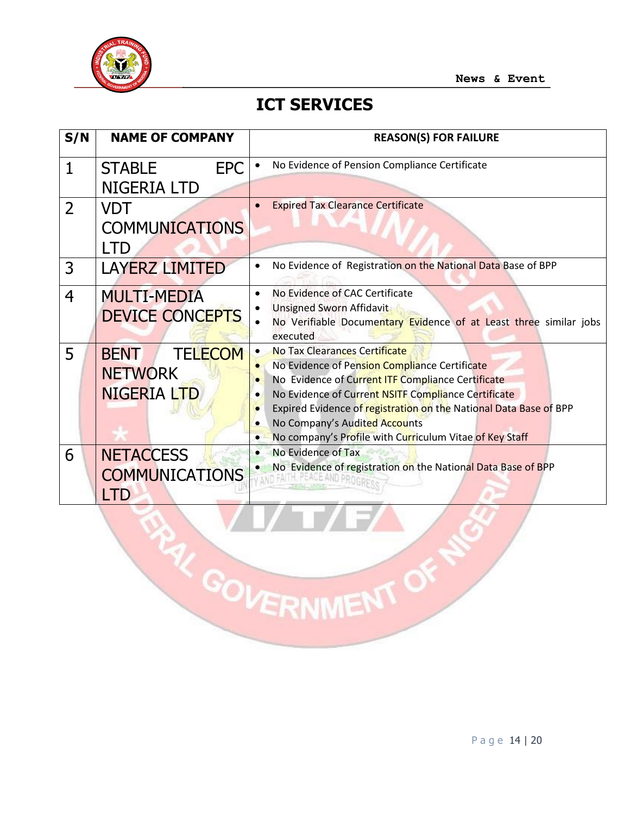

#### **ICT SERVICES**

| S/N            | <b>NAME OF COMPANY</b>                                         | <b>REASON(S) FOR FAILURE</b>                                                                                                                                                                                                                                                                                                                                             |
|----------------|----------------------------------------------------------------|--------------------------------------------------------------------------------------------------------------------------------------------------------------------------------------------------------------------------------------------------------------------------------------------------------------------------------------------------------------------------|
| 1              | <b>EPC</b><br><b>STABLE</b><br><b>NIGERIA LTD</b>              | No Evidence of Pension Compliance Certificate                                                                                                                                                                                                                                                                                                                            |
| $\overline{2}$ | VDT<br><b>COMMUNICATIONS</b><br><b>LTD</b>                     | <b>Expired Tax Clearance Certificate</b>                                                                                                                                                                                                                                                                                                                                 |
| 3              | <b>LAYERZ LIMITED</b>                                          | No Evidence of Registration on the National Data Base of BPP                                                                                                                                                                                                                                                                                                             |
| $\overline{4}$ | <b>MULTI-MEDIA</b><br><b>DEVICE CONCEPTS</b>                   | No Evidence of CAC Certificate<br>Unsigned Sworn Affidavit<br>No Verifiable Documentary Evidence of at Least three similar jobs<br>executed                                                                                                                                                                                                                              |
| 5              | <b>BENT</b><br><b>TELECOM</b><br><b>NETWORK</b><br>NIGERIA LTD | No Tax Clearances Certificate<br>No Evidence of Pension Compliance Certificate<br>No Evidence of Current ITF Compliance Certificate<br>$\bullet$<br>No Evidence of Current NSITF Compliance Certificate<br>Expired Evidence of registration on the National Data Base of BPP<br>No Company's Audited Accounts<br>No company's Profile with Curriculum Vitae of Key Staff |
| 6              | <b>NETACCESS</b><br><b>COMMUNICATIONS</b><br>_TD               | No Evidence of Tax<br>$\bullet$<br>No Evidence of registration on the National Data Base of BPP<br>AND FALLY. PLA                                                                                                                                                                                                                                                        |

**RAY GOVERNMENT OF**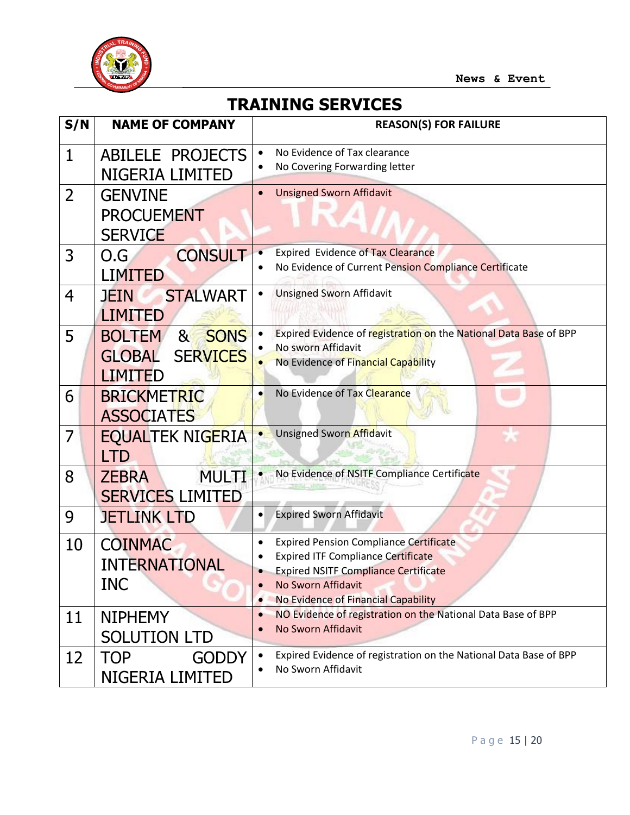

# **TRAINING SERVICES**

| S/N            | <b>NAME OF COMPANY</b>                                                                               | <b>REASON(S) FOR FAILURE</b>                                                                                                                                                                           |
|----------------|------------------------------------------------------------------------------------------------------|--------------------------------------------------------------------------------------------------------------------------------------------------------------------------------------------------------|
| $\mathbf{1}$   | <b>ABILELE PROJECTS</b><br>NIGERIA LIMITED                                                           | No Evidence of Tax clearance<br>No Covering Forwarding letter                                                                                                                                          |
| $\overline{2}$ | <b>GENVINE</b><br><b>PROCUEMENT</b><br><b>SERVICE</b>                                                | <b>Unsigned Sworn Affidavit</b>                                                                                                                                                                        |
| 3              | <b>CONSULT</b><br>O.G<br><b>LIMITED</b>                                                              | <b>Expired Evidence of Tax Clearance</b><br>No Evidence of Current Pension Compliance Certificate                                                                                                      |
| 4              | <b>STALWART</b><br><b>JEIN</b><br><b>LIMITED</b>                                                     | <b>Unsigned Sworn Affidavit</b>                                                                                                                                                                        |
| 5              | <b>SONS</b><br><b>BOLTEM</b><br>8 <sub>1</sub><br><b>SERVICES</b><br><b>GLOBAL</b><br><b>LIMITED</b> | Expired Evidence of registration on the National Data Base of BPP<br>No sworn Affidavit<br>No Evidence of Financial Capability                                                                         |
| 6              | <b>BRICKMETRIC</b><br><b>ASSOCIATES</b>                                                              | No Evidence of Tax Clearance                                                                                                                                                                           |
| $\overline{7}$ | <b>EQUALTEK NIGERIA</b><br><b>LTD</b>                                                                | <b>Unsigned Sworn Affidavit</b>                                                                                                                                                                        |
| 8              | <b>MULTI</b><br><b>ZEBRA</b><br><b>SERVICES LIMITED</b>                                              | No Evidence of NSITF Compliance Certificate                                                                                                                                                            |
| 9              | <b>JETLINK LTD</b>                                                                                   | <b>Expired Sworn Affidavit</b>                                                                                                                                                                         |
| 10             | <b>COINMAC</b><br><b>INTERNATIONAL</b><br><b>INC</b>                                                 | <b>Expired Pension Compliance Certificate</b><br><b>Expired ITF Compliance Certificate</b><br><b>Expired NSITF Compliance Certificate</b><br>No Sworn Affidavit<br>No Evidence of Financial Capability |
| 11             | <b>NIPHEMY</b><br><b>SOLUTION LTD</b>                                                                | NO Evidence of registration on the National Data Base of BPP<br>$\bullet$<br>No Sworn Affidavit                                                                                                        |
| 12             | <b>GODDY</b><br><b>TOP</b><br>NIGERIA LIMITED                                                        | Expired Evidence of registration on the National Data Base of BPP<br>No Sworn Affidavit                                                                                                                |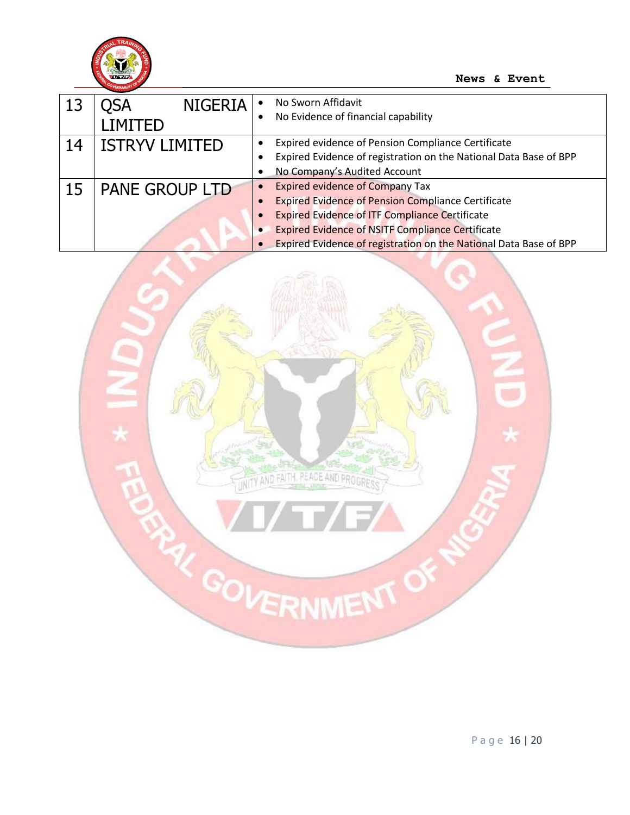

|    | <b>NIGERIA</b><br>)SA | No Sworn Affidavit<br>$\bullet$                                   |
|----|-----------------------|-------------------------------------------------------------------|
|    | IMITED <sub>-</sub>   | No Evidence of financial capability                               |
| 14 | <b>ISTRYV LIMITED</b> | Expired evidence of Pension Compliance Certificate                |
|    |                       | Expired Evidence of registration on the National Data Base of BPP |
|    |                       | No Company's Audited Account                                      |
| 15 | <b>PANE GROUP LTD</b> | <b>Expired evidence of Company Tax</b>                            |
|    |                       | <b>Expired Evidence of Pension Compliance Certificate</b>         |
|    |                       | <b>Expired Evidence of ITF Compliance Certificate</b>             |
|    |                       | <b>Expired Evidence of NSITF Compliance Certificate</b>           |
|    |                       | Expired Evidence of registration on the National Data Base of BPP |

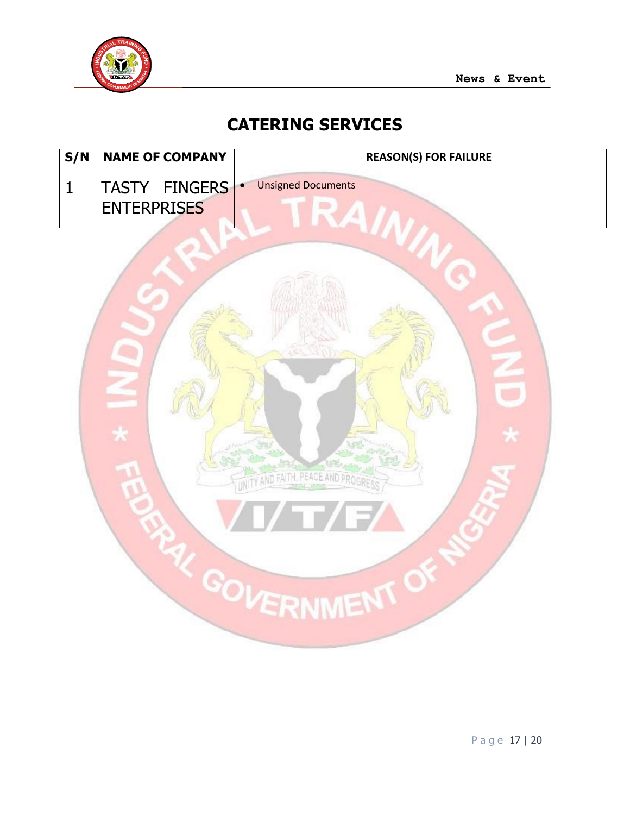

# **CATERING SERVICES**

| S/N          | <b>NAME OF COMPANY</b> | <b>REASON(S) FOR FAILURE</b>           |
|--------------|------------------------|----------------------------------------|
| $\mathbf{1}$ | TASTY FINGERS          | <b>Unsigned Documents</b><br>$\bullet$ |
|              | <b>ENTERPRISES</b>     | 4                                      |
|              |                        |                                        |
|              |                        |                                        |
|              |                        |                                        |
|              |                        |                                        |
|              |                        |                                        |
|              |                        |                                        |
|              |                        | $\star$                                |
|              |                        |                                        |
|              |                        | WITY AND FAITH, PEACE AND PROGRES      |
|              |                        | <b>The Co</b><br>$\sqrt{2}$            |
|              |                        |                                        |
|              |                        |                                        |
|              |                        | GOVERNMENT O                           |
|              |                        |                                        |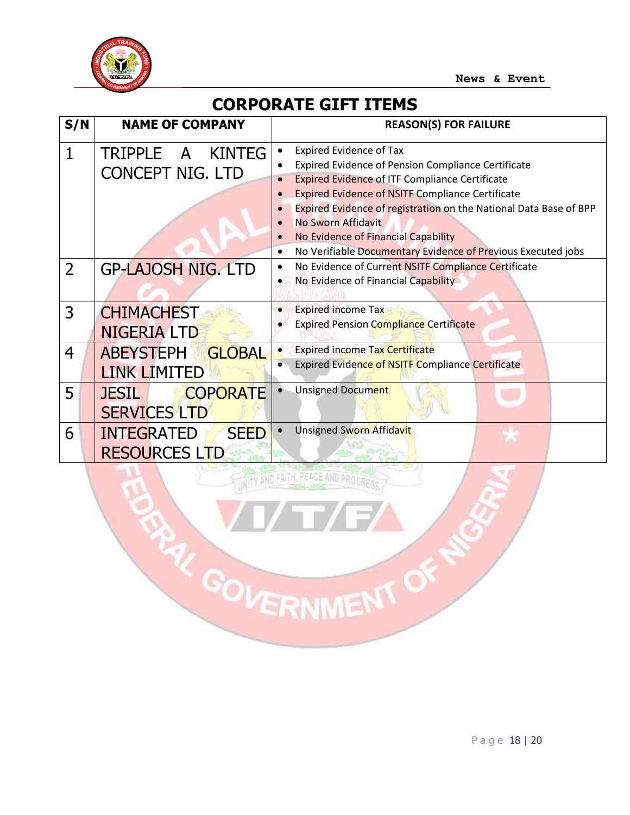

### **CORPORATE GIFT ITEMS**

| S/N            | <b>NAME OF COMPANY</b>                                   | <b>REASON(S) FOR FAILURE</b>                                                                                                                                                                                                                                                                                                                                                                                                                                          |
|----------------|----------------------------------------------------------|-----------------------------------------------------------------------------------------------------------------------------------------------------------------------------------------------------------------------------------------------------------------------------------------------------------------------------------------------------------------------------------------------------------------------------------------------------------------------|
| 1              | TRIPPLE A KINTEG<br><b>CONCEPT NIG. LTD</b>              | <b>Expired Evidence of Tax</b><br>$\bullet$<br><b>Expired Evidence of Pension Compliance Certificate</b><br>$\bullet$<br><b>Expired Evidence of ITF Compliance Certificate</b><br>$\bullet$<br><b>Expired Evidence of NSITF Compliance Certificate</b><br>Expired Evidence of registration on the National Data Base of BPP<br>No Sworn Affidavit<br>No Evidence of Financial Capability<br>No Verifiable Documentary Evidence of Previous Executed jobs<br>$\bullet$ |
| $\overline{2}$ | <b>GP-LAJOSH NIG. LTD</b>                                | No Evidence of Current NSITF Compliance Certificate<br>$\bullet$<br>No Evidence of Financial Capability                                                                                                                                                                                                                                                                                                                                                               |
| 3              | <b>CHIMACHEST</b><br><b>NIGERIA LTD</b>                  | <b>Expired income Tax</b><br>$\bullet$<br><b>Expired Pension Compliance Certificate</b>                                                                                                                                                                                                                                                                                                                                                                               |
| 4              | <b>ABEYSTEPH</b><br><b>GLOBAL</b><br><b>LINK LIMITED</b> | <b>Expired income Tax Certificate</b><br>$\bullet$<br><b>Expired Evidence of NSITF Compliance Certificate</b>                                                                                                                                                                                                                                                                                                                                                         |
| 5              | <b>COPORATE</b><br><b>JESIL</b><br><b>SERVICES LTD</b>   | Unsigned Document                                                                                                                                                                                                                                                                                                                                                                                                                                                     |
| 6              | <b>INTEGRATED</b><br><b>SEED</b><br><b>RESOURCES LTD</b> | Unsigned Sworn Affidavit                                                                                                                                                                                                                                                                                                                                                                                                                                              |
|                |                                                          | THEY AND FAITH, PEACE AND PROGRE                                                                                                                                                                                                                                                                                                                                                                                                                                      |

PAY GOVERNMENT OF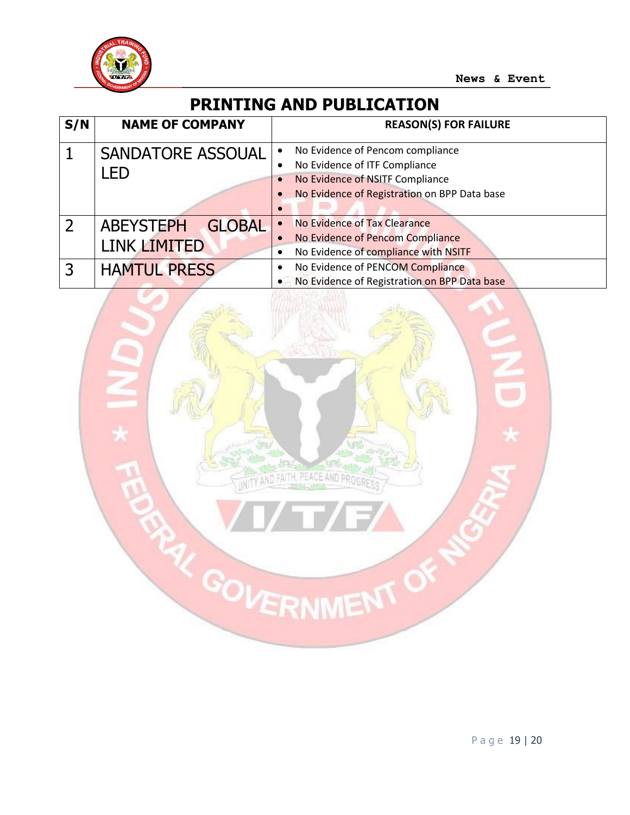

#### **PRINTING AND PUBLICATION**

| S/N            | <b>NAME OF COMPANY</b>                            | <b>REASON(S) FOR FAILURE</b>                                                                                                                                                   |
|----------------|---------------------------------------------------|--------------------------------------------------------------------------------------------------------------------------------------------------------------------------------|
|                | <b>SANDATORE ASSOUAL</b><br>LED                   | No Evidence of Pencom compliance<br>$\bullet$<br>No Evidence of ITF Compliance<br>No Evidence of NSITF Compliance<br>$\bullet$<br>No Evidence of Registration on BPP Data base |
| $\overline{2}$ | <b>GLOBAL</b><br><b>ABEYSTEPH</b><br>LINK LIMITED | No Evidence of Tax Clearance<br>$\bullet$<br>No Evidence of Pencom Compliance<br>No Evidence of compliance with NSITF                                                          |
| 3              | <b>HAMTUL PRESS</b>                               | No Evidence of PENCOM Compliance<br>• No Evidence of Registration on BPP Data base                                                                                             |